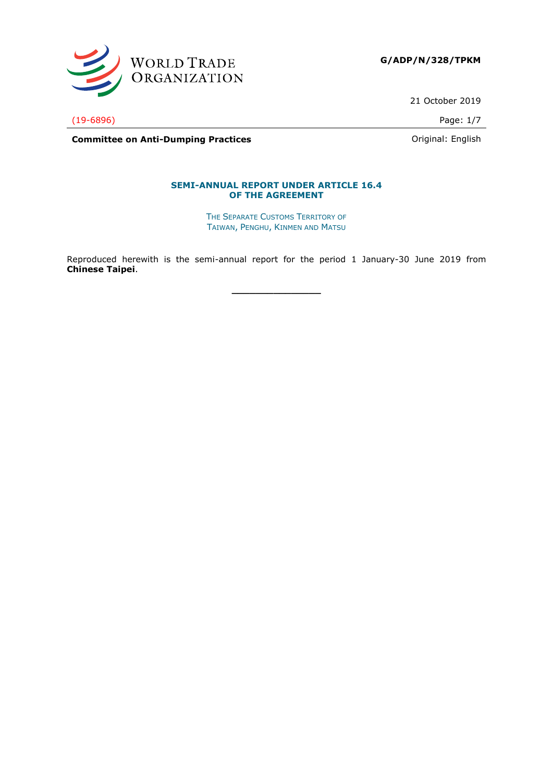

**G/ADP/N/328/TPKM**

21 October 2019

(19-6896) Page: 1/7

**Committee on Anti-Dumping Practices Committee on Anti-Dumping Practices Committee on Anti-Dumping Practices** 

### **SEMI-ANNUAL REPORT UNDER ARTICLE 16.4 OF THE AGREEMENT**

THE SEPARATE CUSTOMS TERRITORY OF TAIWAN, PENGHU, KINMEN AND MATSU

Reproduced herewith is the semi-annual report for the period 1 January-30 June 2019 from **Chinese Taipei**.

**\_\_\_\_\_\_\_\_\_\_\_\_\_\_\_**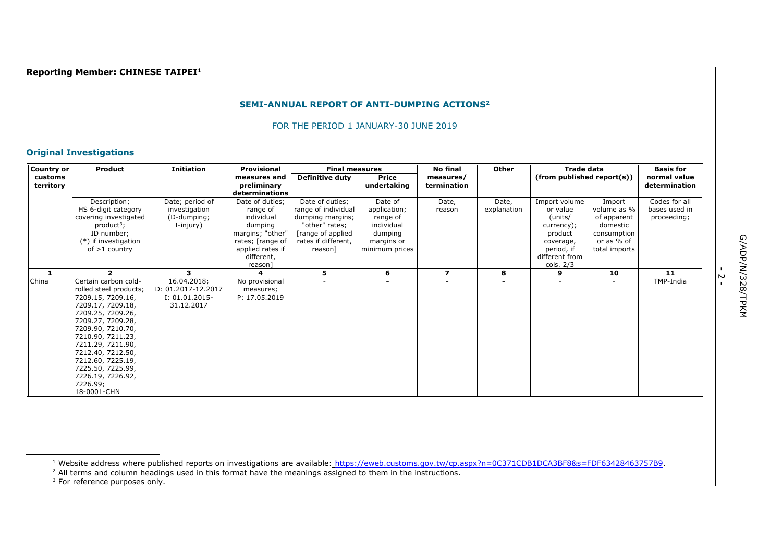## **SEMI-ANNUAL REPORT OF ANTI-DUMPING ACTIONS<sup>2</sup>**

FOR THE PERIOD 1 JANUARY-30 JUNE 2019

## **Original Investigations**

| <b>Country or</b> | Product                | <b>Initiation</b>  | Provisional           | <b>Final measures</b> |                | <b>No final</b>          | Other          | <b>Trade data</b>             |               | <b>Basis for</b> |
|-------------------|------------------------|--------------------|-----------------------|-----------------------|----------------|--------------------------|----------------|-------------------------------|---------------|------------------|
| customs           |                        |                    | measures and          | Definitive duty       | <b>Price</b>   | measures/                |                | (from published report(s))    |               | normal value     |
| territory         |                        |                    | preliminary           |                       | undertaking    | termination              |                |                               |               | determination    |
|                   |                        |                    | determinations        |                       |                |                          |                |                               |               |                  |
|                   | Description;           | Date; period of    | Date of duties;       | Date of duties;       | Date of        | Date,                    | Date,          | Import volume                 | Import        | Codes for all    |
|                   | HS 6-digit category    | investigation      | range of              | range of individual   | application;   | reason                   | explanation    | or value                      | volume as %   | bases used in    |
|                   | covering investigated  | (D-dumping;        | individual            | dumping margins;      | range of       |                          |                | (units/                       | of apparent   | proceeding;      |
|                   | $product^3$ ;          | I-injury)          | dumping               | "other" rates;        | individual     |                          |                | currency);                    | domestic      |                  |
|                   | ID number;             |                    | margins; "other"      | [range of applied     | dumping        |                          |                | product                       | consumption   |                  |
|                   | (*) if investigation   |                    | rates; [range of      | rates if different,   | margins or     |                          |                | coverage,                     | or as % of    |                  |
|                   | of $>1$ country        |                    | applied rates if      | reason]               | minimum prices |                          |                | period, if                    | total imports |                  |
|                   |                        |                    | different,<br>reason] |                       |                |                          |                | different from<br>cols. $2/3$ |               |                  |
| 1                 | ,                      | 3                  |                       | 5.                    | 6              | $\overline{\phantom{a}}$ | 8              | 9                             | 10            | 11               |
| China             | Certain carbon cold-   | 16.04.2018;        | No provisional        |                       |                |                          | $\blacksquare$ | $\blacksquare$                |               | TMP-India        |
|                   | rolled steel products; | D: 01.2017-12.2017 | measures;             |                       |                |                          |                |                               |               |                  |
|                   | 7209.15, 7209.16,      | $I: 01.01.2015-$   | P: 17.05.2019         |                       |                |                          |                |                               |               |                  |
|                   | 7209.17, 7209.18,      | 31.12.2017         |                       |                       |                |                          |                |                               |               |                  |
|                   | 7209.25, 7209.26,      |                    |                       |                       |                |                          |                |                               |               |                  |
|                   | 7209.27, 7209.28,      |                    |                       |                       |                |                          |                |                               |               |                  |
|                   | 7209.90, 7210.70,      |                    |                       |                       |                |                          |                |                               |               |                  |
|                   | 7210.90, 7211.23,      |                    |                       |                       |                |                          |                |                               |               |                  |
|                   | 7211.29, 7211.90,      |                    |                       |                       |                |                          |                |                               |               |                  |
|                   | 7212.40, 7212.50,      |                    |                       |                       |                |                          |                |                               |               |                  |
|                   | 7212.60, 7225.19,      |                    |                       |                       |                |                          |                |                               |               |                  |
|                   | 7225.50, 7225.99,      |                    |                       |                       |                |                          |                |                               |               |                  |
|                   | 7226.19, 7226.92,      |                    |                       |                       |                |                          |                |                               |               |                  |
|                   | 7226.99;               |                    |                       |                       |                |                          |                |                               |               |                  |
|                   | 18-0001-CHN            |                    |                       |                       |                |                          |                |                               |               |                  |

<sup>1</sup> Website address where published reports on investigations are available: [https://eweb.customs.gov.tw/cp.aspx?n=0C371CDB1DCA3BF8&s=FDF63428463757B9.](https://eweb.customs.gov.tw/cp.aspx?n=0C371CDB1DCA3BF8&s=FDF63428463757B9)

 $<sup>2</sup>$  All terms and column headings used in this format have the meanings assigned to them in the instructions.</sup>

 $3$  For reference purposes only.

ł

-<br>- 2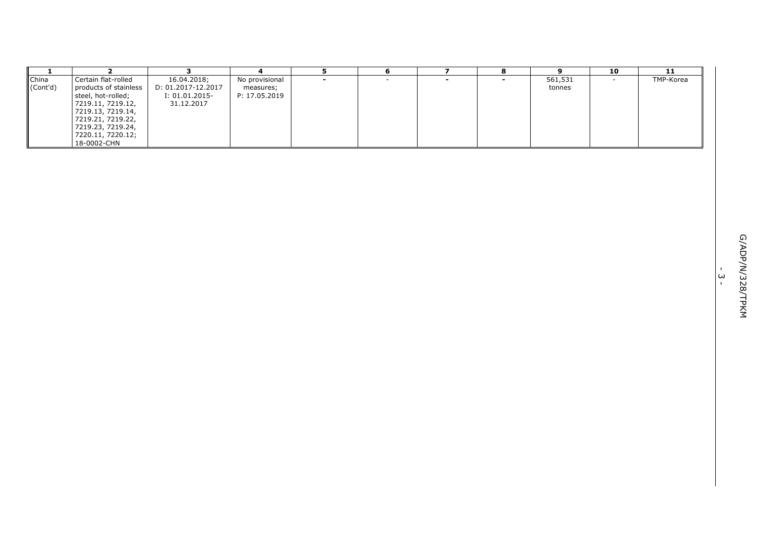| -1                | $\overline{2}$                                                                                                                                                                             | 3                                                                 | $\overline{\mathbf{4}}$                      | 5                        | 6      | $\overline{ }$           | 8              | 9                 | 10     | 11        |          |                  |
|-------------------|--------------------------------------------------------------------------------------------------------------------------------------------------------------------------------------------|-------------------------------------------------------------------|----------------------------------------------|--------------------------|--------|--------------------------|----------------|-------------------|--------|-----------|----------|------------------|
| China<br>(Cont'd) | Certain flat-rolled<br>products of stainless<br>steel, hot-rolled;<br>7219.11, 7219.12,<br>7219.13, 7219.14,<br>7219.21, 7219.22,<br>7219.23, 7219.24,<br>7220.11, 7220.12;<br>18-0002-CHN | 16.04.2018;<br>D: 01.2017-12.2017<br>I: 01.01.2015-<br>31.12.2017 | No provisional<br>measures;<br>P: 17.05.2019 | $\overline{\phantom{0}}$ | $\sim$ | $\overline{\phantom{a}}$ | $\blacksquare$ | 561,531<br>tonnes | $\sim$ | TMP-Korea |          |                  |
|                   |                                                                                                                                                                                            |                                                                   |                                              |                          |        |                          |                |                   |        |           |          |                  |
|                   |                                                                                                                                                                                            |                                                                   |                                              |                          |        |                          |                |                   |        |           | $\omega$ | G/ADP/N/328/TPKM |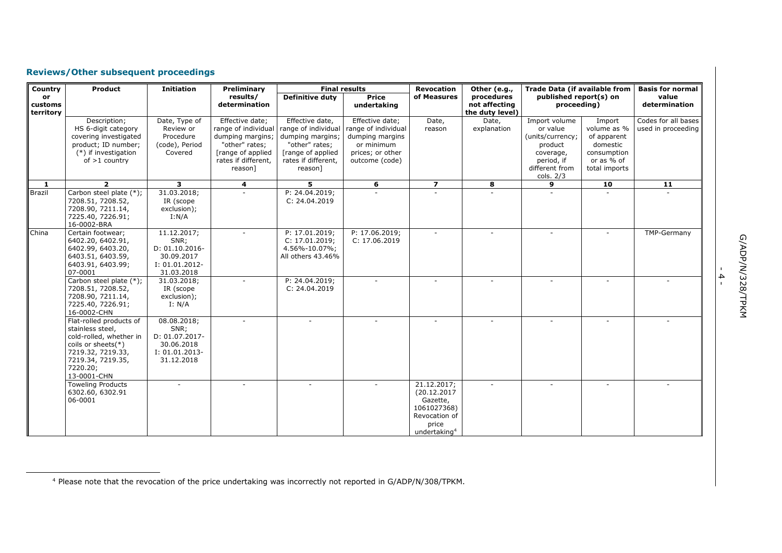# **Reviews/Other subsequent proceedings**

ł

| Country                    | Product                                                                                                                                                              | <b>Initiation</b>                                                                   | Preliminary                                                                                                                         |                                                                                                                                      | <b>Final results</b>                                                                                          | <b>Revocation</b>                                                                                           | Other (e.g.,                                   | <b>Trade Data (if available from</b>                                                                               |                                                                                                | <b>Basis for normal</b>                   |
|----------------------------|----------------------------------------------------------------------------------------------------------------------------------------------------------------------|-------------------------------------------------------------------------------------|-------------------------------------------------------------------------------------------------------------------------------------|--------------------------------------------------------------------------------------------------------------------------------------|---------------------------------------------------------------------------------------------------------------|-------------------------------------------------------------------------------------------------------------|------------------------------------------------|--------------------------------------------------------------------------------------------------------------------|------------------------------------------------------------------------------------------------|-------------------------------------------|
| or<br>customs<br>territory |                                                                                                                                                                      |                                                                                     | results/<br>determination                                                                                                           | <b>Definitive duty</b>                                                                                                               | <b>Price</b><br>undertaking                                                                                   | of Measures                                                                                                 | procedures<br>not affecting<br>the duty level) | published report(s) on<br>proceeding)                                                                              |                                                                                                | value<br>determination                    |
|                            | Description;<br>HS 6-digit category<br>covering investigated<br>product; ID number;<br>(*) if investigation<br>of $>1$ country                                       | Date, Type of<br>Review or<br>Procedure<br>(code), Period<br>Covered                | Effective date;<br>range of individual<br>dumping margins;<br>"other" rates;<br>[range of applied<br>rates if different,<br>reason] | Effective date,<br>range of individual<br>dumping margins;<br>"other" rates;<br>[range of applied]<br>rates if different,<br>reason] | Effective date;<br>range of individual<br>dumping margins<br>or minimum<br>prices; or other<br>outcome (code) | Date,<br>reason                                                                                             | Date,<br>explanation                           | Import volume<br>or value<br>(units/currency;<br>product<br>coverage,<br>period, if<br>different from<br>cols. 2/3 | Import<br>volume as %<br>of apparent<br>domestic<br>consumption<br>or as % of<br>total imports | Codes for all bases<br>used in proceeding |
| 1                          |                                                                                                                                                                      | 3                                                                                   | 4                                                                                                                                   | 5.                                                                                                                                   | 6                                                                                                             | $\overline{ }$                                                                                              | 8                                              | 9                                                                                                                  | 10                                                                                             | 11                                        |
| <b>Brazil</b>              | Carbon steel plate (*);<br>7208.51, 7208.52,<br>7208.90, 7211.14,<br>7225.40, 7226.91;<br>16-0002-BRA                                                                | 31.03.2018;<br>IR (scope<br>exclusion);<br>I: N/A                                   |                                                                                                                                     | P: 24.04.2019;<br>C: 24.04.2019                                                                                                      |                                                                                                               |                                                                                                             |                                                |                                                                                                                    |                                                                                                |                                           |
| China                      | Certain footwear;<br>6402.20, 6402.91,<br>6402.99, 6403.20,<br>6403.51, 6403.59,<br>6403.91, 6403.99;<br>07-0001                                                     | 11.12.2017;<br>SNR;<br>D: 01.10.2016-<br>30.09.2017<br>I: 01.01.2012-<br>31.03.2018 |                                                                                                                                     | P: 17.01.2019;<br>C: 17.01.2019:<br>4.56%-10.07%;<br>All others 43.46%                                                               | P: 17.06.2019;<br>C: 17.06.2019                                                                               |                                                                                                             |                                                |                                                                                                                    |                                                                                                | TMP-Germany                               |
|                            | Carbon steel plate (*);<br>7208.51, 7208.52,<br>7208.90, 7211.14,<br>7225.40, 7226.91;<br>16-0002-CHN                                                                | 31.03.2018;<br>IR (scope<br>exclusion);<br>I: N/A                                   |                                                                                                                                     | P: 24.04.2019;<br>C: 24.04.2019                                                                                                      |                                                                                                               |                                                                                                             |                                                |                                                                                                                    |                                                                                                |                                           |
|                            | Flat-rolled products of<br>stainless steel,<br>cold-rolled, whether in<br>coils or sheets $(*)$<br>7219.32, 7219.33,<br>7219.34, 7219.35,<br>7220.20;<br>13-0001-CHN | 08.08.2018;<br>SNR;<br>D: 01.07.2017-<br>30.06.2018<br>I: 01.01.2013-<br>31.12.2018 |                                                                                                                                     | ÷                                                                                                                                    | ÷.                                                                                                            |                                                                                                             |                                                |                                                                                                                    |                                                                                                |                                           |
|                            | <b>Toweling Products</b><br>6302.60, 6302.91<br>06-0001                                                                                                              |                                                                                     |                                                                                                                                     |                                                                                                                                      |                                                                                                               | 21.12.2017;<br>(20.12.2017<br>Gazette,<br>1061027368)<br>Revocation of<br>price<br>undertaking <sup>4</sup> | $\sim$                                         |                                                                                                                    |                                                                                                |                                           |

- 4 -

<sup>4</sup> Please note that the revocation of the price undertaking was incorrectly not reported in G/ADP/N/308/TPKM.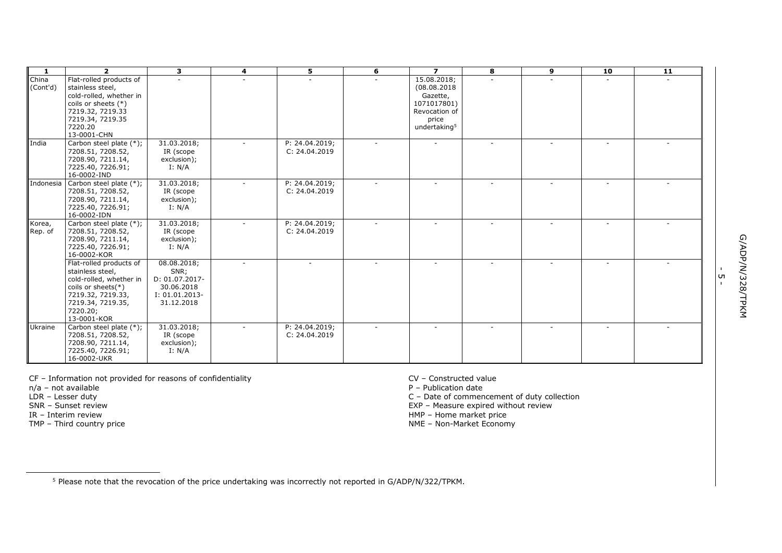| $\mathbf{1}$      | $\overline{2}$                                                                                                                                                       | 3                                                                                     | 4      | 5                               | 6      | $\overline{ }$                                                                                              | 8                        | 9 | 10 | 11 |
|-------------------|----------------------------------------------------------------------------------------------------------------------------------------------------------------------|---------------------------------------------------------------------------------------|--------|---------------------------------|--------|-------------------------------------------------------------------------------------------------------------|--------------------------|---|----|----|
| China<br>(Cont'd) | Flat-rolled products of<br>stainless steel,<br>cold-rolled, whether in<br>coils or sheets (*)<br>7219.32, 7219.33<br>7219.34, 7219.35<br>7220.20<br>13-0001-CHN      |                                                                                       | $\sim$ |                                 |        | 15.08.2018;<br>(08.08.2018<br>Gazette,<br>1071017801)<br>Revocation of<br>price<br>undertaking <sup>5</sup> |                          |   |    |    |
| India             | Carbon steel plate (*);<br>7208.51, 7208.52,<br>7208.90, 7211.14,<br>7225.40, 7226.91;<br>16-0002-IND                                                                | 31.03.2018;<br>IR (scope<br>exclusion);<br>I: N/A                                     |        | P: 24.04.2019;<br>C: 24.04.2019 |        |                                                                                                             | $\sim$                   |   |    |    |
| Indonesia         | Carbon steel plate (*);<br>7208.51, 7208.52,<br>7208.90, 7211.14,<br>7225.40, 7226.91;<br>16-0002-IDN                                                                | 31.03.2018;<br>IR (scope<br>exclusion);<br>I: N/A                                     |        | P: 24.04.2019;<br>C: 24.04.2019 |        | $\overline{\phantom{a}}$                                                                                    |                          |   |    |    |
| Korea,<br>Rep. of | Carbon steel plate (*);<br>7208.51, 7208.52,<br>7208.90, 7211.14,<br>7225.40, 7226.91;<br>16-0002-KOR                                                                | 31.03.2018;<br>IR (scope<br>exclusion);<br>I: N/A                                     |        | P: 24.04.2019;<br>C: 24.04.2019 |        |                                                                                                             | $\overline{\phantom{a}}$ |   |    |    |
|                   | Flat-rolled products of<br>stainless steel,<br>cold-rolled, whether in<br>coils or sheets $(*)$<br>7219.32, 7219.33,<br>7219.34, 7219.35,<br>7220.20;<br>13-0001-KOR | 08.08.2018;<br>SNR;<br>D: 01.07.2017-<br>30.06.2018<br>$I: 01.01.2013-$<br>31.12.2018 |        |                                 |        |                                                                                                             |                          |   |    |    |
| Ukraine           | Carbon steel plate (*);<br>7208.51, 7208.52,<br>7208.90, 7211.14,<br>7225.40, 7226.91;<br>16-0002-UKR                                                                | 31.03.2018;<br>IR (scope<br>exclusion);<br>I: N/A                                     |        | P: 24.04.2019;<br>C: 24.04.2019 | $\sim$ | $\overline{\phantom{a}}$                                                                                    | $\sim$                   |   |    |    |

 $CF$  – Information not provided for reasons of confidentiality  $CV$  – Constructed value  $n/a$  – not available  $P$  – Publication date

n/a – not available<br>LDR – Lesser duty<br>SNR – Sunset review

IR – Interim review

ł

TMP – Third country price

C – Date of commencement of duty collection

EXP – Measure expired without review

HMP – Home market price

NME – Non-Market Economy

<sup>5</sup> Please note that the revocation of the price undertaking was incorrectly not reported in G/ADP/N/322/TPKM.

י<br>ה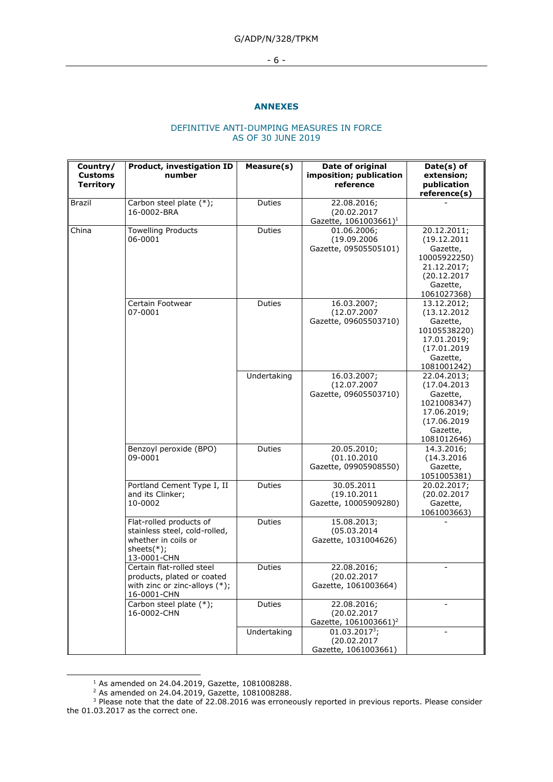## G/ADP/N/328/TPKM

- 6 -

## **ANNEXES**

### DEFINITIVE ANTI-DUMPING MEASURES IN FORCE AS OF 30 JUNE 2019

| Country/<br><b>Customs</b><br><b>Territory</b> | <b>Product, investigation ID</b><br>number                                                                       | Measure(s)    | Date of original<br>imposition; publication<br>reference        | Date(s) of<br>extension;<br>publication                                                                          |
|------------------------------------------------|------------------------------------------------------------------------------------------------------------------|---------------|-----------------------------------------------------------------|------------------------------------------------------------------------------------------------------------------|
|                                                |                                                                                                                  |               |                                                                 | reference(s)                                                                                                     |
| Brazil                                         | Carbon steel plate (*);<br>16-0002-BRA                                                                           | Duties        | 22.08.2016;<br>(20.02.2017<br>Gazette, 1061003661) <sup>1</sup> |                                                                                                                  |
| China                                          | <b>Towelling Products</b><br>06-0001                                                                             | Duties        | 01.06.2006;<br>(19.09.2006<br>Gazette, 09505505101)             | 20.12.2011;<br>(19.12.2011)<br>Gazette,<br>10005922250)<br>21.12.2017;<br>(20.12.2017<br>Gazette,<br>1061027368) |
|                                                | Certain Footwear<br>07-0001                                                                                      | Duties        | 16.03.2007;<br>(12.07.2007<br>Gazette, 09605503710)             | 13.12.2012;<br>(13.12.2012)<br>Gazette,<br>10105538220)<br>17.01.2019;<br>(17.01.2019<br>Gazette,<br>1081001242) |
|                                                |                                                                                                                  | Undertaking   | 16.03.2007;<br>(12.07.2007<br>Gazette, 09605503710)             | 22.04.2013;<br>(17.04.2013<br>Gazette,<br>1021008347)<br>17.06.2019;<br>(17.06.2019<br>Gazette,<br>1081012646)   |
|                                                | Benzoyl peroxide (BPO)<br>09-0001                                                                                | Duties        | 20.05.2010;<br>(01.10.2010<br>Gazette, 09905908550)             | 14.3.2016;<br>(14.3.2016<br>Gazette,<br>1051005381)                                                              |
|                                                | Portland Cement Type I, II<br>and its Clinker;<br>10-0002                                                        | Duties        | 30.05.2011<br>(19.10.2011<br>Gazette, 10005909280)              | 20.02.2017;<br>(20.02.2017<br>Gazette,<br>1061003663)                                                            |
|                                                | Flat-rolled products of<br>stainless steel, cold-rolled,<br>whether in coils or<br>sheets $(*)$ ;<br>13-0001-CHN | <b>Duties</b> | 15.08.2013;<br>(05.03.2014)<br>Gazette, 1031004626)             |                                                                                                                  |
|                                                | Certain flat-rolled steel<br>products, plated or coated<br>with zinc or zinc-alloys $(*)$ ;<br>16-0001-CHN       | Duties        | 22.08.2016;<br>(20.02.2017<br>Gazette, 1061003664)              |                                                                                                                  |
|                                                | Carbon steel plate (*);<br>16-0002-CHN                                                                           | Duties        | 22.08.2016;<br>(20.02.2017<br>Gazette, 1061003661) <sup>2</sup> |                                                                                                                  |
|                                                |                                                                                                                  | Undertaking   | $01.03.2017^3;$<br>(20.02.2017<br>Gazette, 1061003661)          |                                                                                                                  |

 $1$  As amended on 24.04.2019, Gazette, 1081008288.

-

<sup>2</sup> As amended on 24.04.2019, Gazette, 1081008288.

 $3$  Please note that the date of 22.08.2016 was erroneously reported in previous reports. Please consider the 01.03.2017 as the correct one.